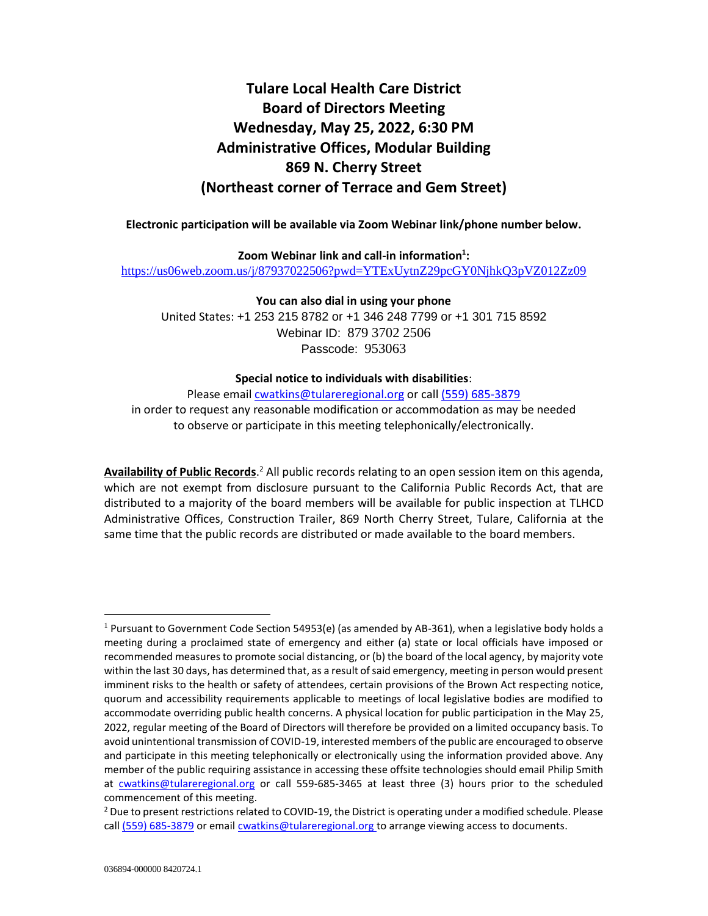# **Tulare Local Health Care District Board of Directors Meeting Wednesday, May 25, 2022, 6:30 PM Administrative Offices, Modular Building 869 N. Cherry Street (Northeast corner of Terrace and Gem Street)**

**Electronic participation will be available via Zoom Webinar link/phone number below.**

**Zoom Webinar link and call-in information<sup>1</sup> :**

<https://us06web.zoom.us/j/87937022506?pwd=YTExUytnZ29pcGY0NjhkQ3pVZ012Zz09>

**You can also dial in using your phone**

United States: +1 253 215 8782 or +1 346 248 7799 or +1 301 715 8592 Webinar ID: 879 3702 2506 Passcode: 953063

## **Special notice to individuals with disabilities**:

Please email [cwatkins@tulareregional.org](mailto:cwatkins@tulareregional.org) or call (559) 685-3879 in order to request any reasonable modification or accommodation as may be needed to observe or participate in this meeting telephonically/electronically.

Availability of Public Records.<sup>2</sup> All public records relating to an open session item on this agenda, which are not exempt from disclosure pursuant to the California Public Records Act, that are distributed to a majority of the board members will be available for public inspection at TLHCD Administrative Offices, Construction Trailer, 869 North Cherry Street, Tulare, California at the same time that the public records are distributed or made available to the board members.

 $1$  Pursuant to Government Code Section 54953(e) (as amended by AB-361), when a legislative body holds a meeting during a proclaimed state of emergency and either (a) state or local officials have imposed or recommended measures to promote social distancing, or (b) the board of the local agency, by majority vote within the last 30 days, has determined that, as a result of said emergency, meeting in person would present imminent risks to the health or safety of attendees, certain provisions of the Brown Act respecting notice, quorum and accessibility requirements applicable to meetings of local legislative bodies are modified to accommodate overriding public health concerns. A physical location for public participation in the May 25, 2022, regular meeting of the Board of Directors will therefore be provided on a limited occupancy basis. To avoid unintentional transmission of COVID-19, interested members of the public are encouraged to observe and participate in this meeting telephonically or electronically using the information provided above. Any member of the public requiring assistance in accessing these offsite technologies should email Philip Smith at [cwatkins@tulareregional.org](mailto:cwatkins@tulareregional.org) or call 559-685-3465 at least three (3) hours prior to the scheduled commencement of this meeting.

 $^2$  Due to present restrictions related to COVID-19, the District is operating under a modified schedule. Please call (559) 685-3879 or email [cwatkins@tulareregional.org](mailto:cwatkins@tulareregional.org) to arrange viewing access to documents.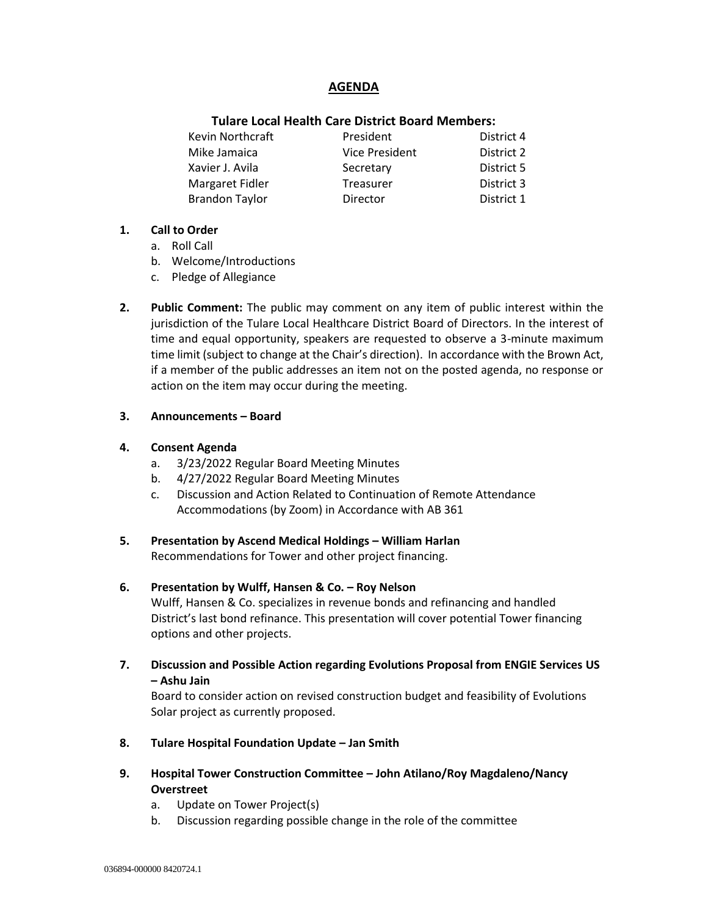# **AGENDA**

## **Tulare Local Health Care District Board Members:**

| Kevin Northcraft      | President             | District 4 |
|-----------------------|-----------------------|------------|
| Mike Jamaica          | <b>Vice President</b> | District 2 |
| Xavier J. Avila       | Secretary             | District 5 |
| Margaret Fidler       | <b>Treasurer</b>      | District 3 |
| <b>Brandon Taylor</b> | Director              | District 1 |

#### **1. Call to Order**

- a. Roll Call
- b. Welcome/Introductions
- c. Pledge of Allegiance
- **2. Public Comment:** The public may comment on any item of public interest within the jurisdiction of the Tulare Local Healthcare District Board of Directors. In the interest of time and equal opportunity, speakers are requested to observe a 3-minute maximum time limit (subject to change at the Chair's direction). In accordance with the Brown Act, if a member of the public addresses an item not on the posted agenda, no response or action on the item may occur during the meeting.

## **3. Announcements – Board**

## **4. Consent Agenda**

- a. 3/23/2022 Regular Board Meeting Minutes
- b. 4/27/2022 Regular Board Meeting Minutes
- c. Discussion and Action Related to Continuation of Remote Attendance Accommodations (by Zoom) in Accordance with AB 361
- **5. Presentation by Ascend Medical Holdings – William Harlan** Recommendations for Tower and other project financing.

## **6. Presentation by Wulff, Hansen & Co. – Roy Nelson**

Wulff, Hansen & Co. specializes in revenue bonds and refinancing and handled District's last bond refinance. This presentation will cover potential Tower financing options and other projects.

**7. Discussion and Possible Action regarding Evolutions Proposal from ENGIE Services US – Ashu Jain**

Board to consider action on revised construction budget and feasibility of Evolutions Solar project as currently proposed.

- **8. Tulare Hospital Foundation Update – Jan Smith**
- **9. Hospital Tower Construction Committee – John Atilano/Roy Magdaleno/Nancy Overstreet**
	- a. Update on Tower Project(s)
	- b. Discussion regarding possible change in the role of the committee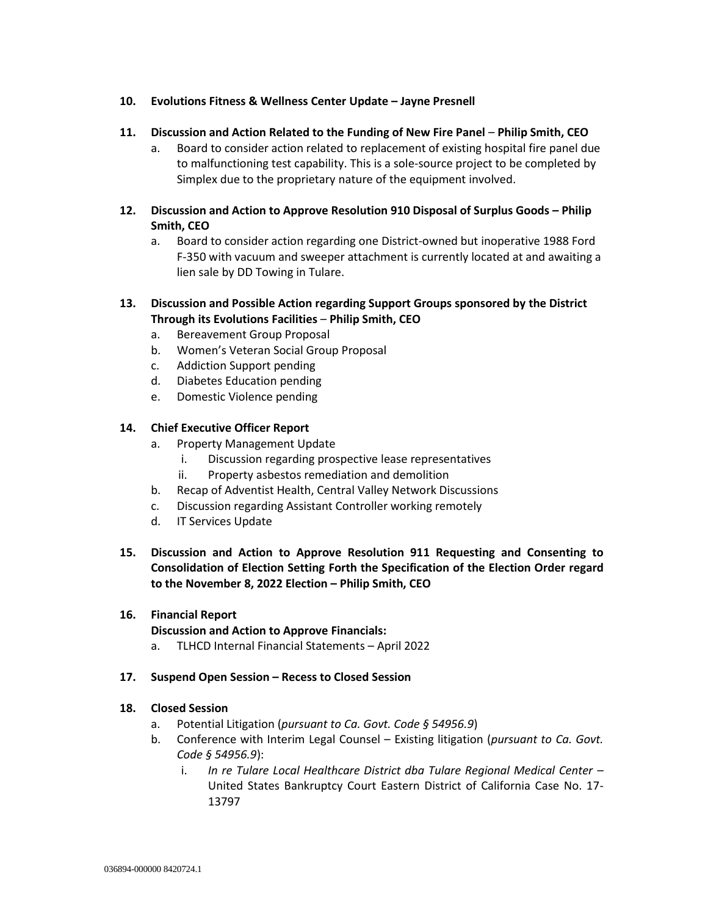## **10. Evolutions Fitness & Wellness Center Update – Jayne Presnell**

## **11. Discussion and Action Related to the Funding of New Fire Panel** – **Philip Smith, CEO**

a. Board to consider action related to replacement of existing hospital fire panel due to malfunctioning test capability. This is a sole-source project to be completed by Simplex due to the proprietary nature of the equipment involved.

## **12. Discussion and Action to Approve Resolution 910 Disposal of Surplus Goods – Philip Smith, CEO**

a. Board to consider action regarding one District-owned but inoperative 1988 Ford F-350 with vacuum and sweeper attachment is currently located at and awaiting a lien sale by DD Towing in Tulare.

## **13. Discussion and Possible Action regarding Support Groups sponsored by the District Through its Evolutions Facilities** – **Philip Smith, CEO**

- a. Bereavement Group Proposal
- b. Women's Veteran Social Group Proposal
- c. Addiction Support pending
- d. Diabetes Education pending
- e. Domestic Violence pending

## **14. Chief Executive Officer Report**

- a. Property Management Update
	- i. Discussion regarding prospective lease representatives
	- ii. Property asbestos remediation and demolition
- b. Recap of Adventist Health, Central Valley Network Discussions
- c. Discussion regarding Assistant Controller working remotely
- d. IT Services Update

# **15. Discussion and Action to Approve Resolution 911 Requesting and Consenting to Consolidation of Election Setting Forth the Specification of the Election Order regard to the November 8, 2022 Election – Philip Smith, CEO**

## **16. Financial Report**

## **Discussion and Action to Approve Financials:**

a. TLHCD Internal Financial Statements – April 2022

## **17. Suspend Open Session – Recess to Closed Session**

## **18. Closed Session**

- a. Potential Litigation (*pursuant to Ca. Govt. Code § 54956.9*)
- b. Conference with Interim Legal Counsel Existing litigation (*pursuant to Ca. Govt. Code § 54956.9*):
	- i. *In re Tulare Local Healthcare District dba Tulare Regional Medical Center* United States Bankruptcy Court Eastern District of California Case No. 17- 13797